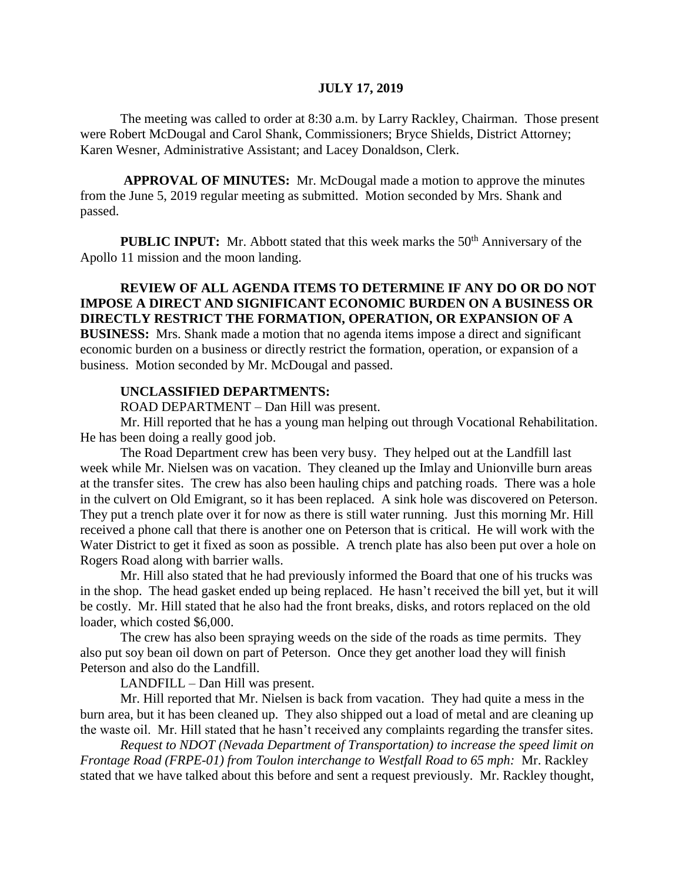### **JULY 17, 2019**

The meeting was called to order at 8:30 a.m. by Larry Rackley, Chairman. Those present were Robert McDougal and Carol Shank, Commissioners; Bryce Shields, District Attorney; Karen Wesner, Administrative Assistant; and Lacey Donaldson, Clerk.

**APPROVAL OF MINUTES:** Mr. McDougal made a motion to approve the minutes from the June 5, 2019 regular meeting as submitted. Motion seconded by Mrs. Shank and passed.

**PUBLIC INPUT:** Mr. Abbott stated that this week marks the 50<sup>th</sup> Anniversary of the Apollo 11 mission and the moon landing.

**REVIEW OF ALL AGENDA ITEMS TO DETERMINE IF ANY DO OR DO NOT IMPOSE A DIRECT AND SIGNIFICANT ECONOMIC BURDEN ON A BUSINESS OR DIRECTLY RESTRICT THE FORMATION, OPERATION, OR EXPANSION OF A BUSINESS:** Mrs. Shank made a motion that no agenda items impose a direct and significant economic burden on a business or directly restrict the formation, operation, or expansion of a business. Motion seconded by Mr. McDougal and passed.

### **UNCLASSIFIED DEPARTMENTS:**

ROAD DEPARTMENT – Dan Hill was present.

Mr. Hill reported that he has a young man helping out through Vocational Rehabilitation. He has been doing a really good job.

The Road Department crew has been very busy. They helped out at the Landfill last week while Mr. Nielsen was on vacation. They cleaned up the Imlay and Unionville burn areas at the transfer sites. The crew has also been hauling chips and patching roads. There was a hole in the culvert on Old Emigrant, so it has been replaced. A sink hole was discovered on Peterson. They put a trench plate over it for now as there is still water running. Just this morning Mr. Hill received a phone call that there is another one on Peterson that is critical. He will work with the Water District to get it fixed as soon as possible. A trench plate has also been put over a hole on Rogers Road along with barrier walls.

Mr. Hill also stated that he had previously informed the Board that one of his trucks was in the shop. The head gasket ended up being replaced. He hasn't received the bill yet, but it will be costly. Mr. Hill stated that he also had the front breaks, disks, and rotors replaced on the old loader, which costed \$6,000.

The crew has also been spraying weeds on the side of the roads as time permits. They also put soy bean oil down on part of Peterson. Once they get another load they will finish Peterson and also do the Landfill.

LANDFILL – Dan Hill was present.

Mr. Hill reported that Mr. Nielsen is back from vacation. They had quite a mess in the burn area, but it has been cleaned up. They also shipped out a load of metal and are cleaning up the waste oil. Mr. Hill stated that he hasn't received any complaints regarding the transfer sites.

*Request to NDOT (Nevada Department of Transportation) to increase the speed limit on Frontage Road (FRPE-01) from Toulon interchange to Westfall Road to 65 mph:* Mr. Rackley stated that we have talked about this before and sent a request previously. Mr. Rackley thought,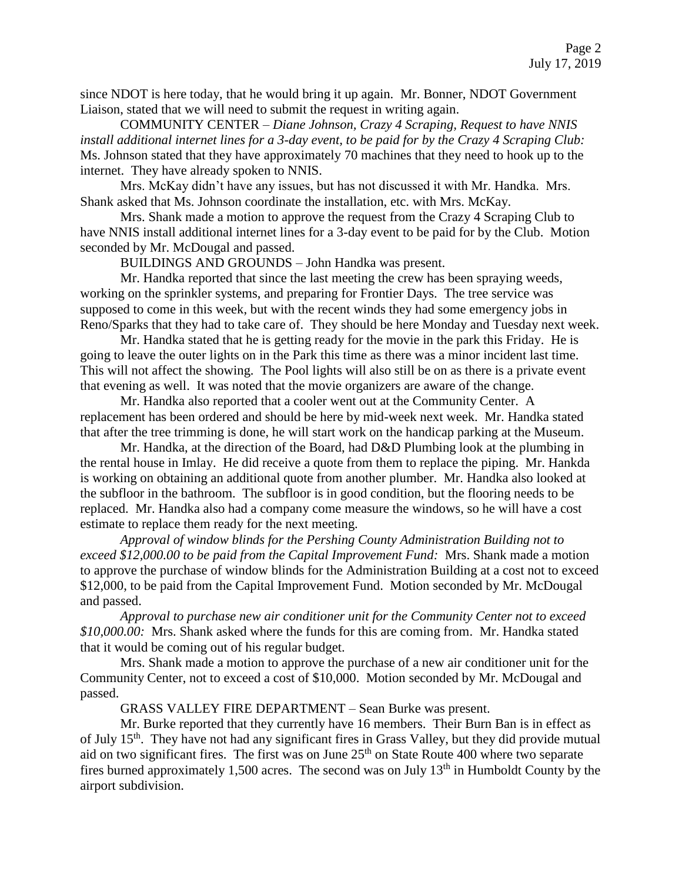since NDOT is here today, that he would bring it up again. Mr. Bonner, NDOT Government Liaison, stated that we will need to submit the request in writing again.

COMMUNITY CENTER – *Diane Johnson, Crazy 4 Scraping, Request to have NNIS install additional internet lines for a 3-day event, to be paid for by the Crazy 4 Scraping Club:*  Ms. Johnson stated that they have approximately 70 machines that they need to hook up to the internet. They have already spoken to NNIS.

Mrs. McKay didn't have any issues, but has not discussed it with Mr. Handka. Mrs. Shank asked that Ms. Johnson coordinate the installation, etc. with Mrs. McKay.

Mrs. Shank made a motion to approve the request from the Crazy 4 Scraping Club to have NNIS install additional internet lines for a 3-day event to be paid for by the Club. Motion seconded by Mr. McDougal and passed.

BUILDINGS AND GROUNDS – John Handka was present.

Mr. Handka reported that since the last meeting the crew has been spraying weeds, working on the sprinkler systems, and preparing for Frontier Days. The tree service was supposed to come in this week, but with the recent winds they had some emergency jobs in Reno/Sparks that they had to take care of. They should be here Monday and Tuesday next week.

Mr. Handka stated that he is getting ready for the movie in the park this Friday. He is going to leave the outer lights on in the Park this time as there was a minor incident last time. This will not affect the showing. The Pool lights will also still be on as there is a private event that evening as well. It was noted that the movie organizers are aware of the change.

Mr. Handka also reported that a cooler went out at the Community Center. A replacement has been ordered and should be here by mid-week next week. Mr. Handka stated that after the tree trimming is done, he will start work on the handicap parking at the Museum.

Mr. Handka, at the direction of the Board, had D&D Plumbing look at the plumbing in the rental house in Imlay. He did receive a quote from them to replace the piping. Mr. Hankda is working on obtaining an additional quote from another plumber. Mr. Handka also looked at the subfloor in the bathroom. The subfloor is in good condition, but the flooring needs to be replaced. Mr. Handka also had a company come measure the windows, so he will have a cost estimate to replace them ready for the next meeting.

*Approval of window blinds for the Pershing County Administration Building not to exceed \$12,000.00 to be paid from the Capital Improvement Fund:* Mrs. Shank made a motion to approve the purchase of window blinds for the Administration Building at a cost not to exceed \$12,000, to be paid from the Capital Improvement Fund. Motion seconded by Mr. McDougal and passed.

*Approval to purchase new air conditioner unit for the Community Center not to exceed \$10,000.00:* Mrs. Shank asked where the funds for this are coming from. Mr. Handka stated that it would be coming out of his regular budget.

Mrs. Shank made a motion to approve the purchase of a new air conditioner unit for the Community Center, not to exceed a cost of \$10,000. Motion seconded by Mr. McDougal and passed.

GRASS VALLEY FIRE DEPARTMENT – Sean Burke was present.

Mr. Burke reported that they currently have 16 members. Their Burn Ban is in effect as of July 15<sup>th</sup>. They have not had any significant fires in Grass Valley, but they did provide mutual aid on two significant fires. The first was on June  $25<sup>th</sup>$  on State Route 400 where two separate fires burned approximately 1,500 acres. The second was on July  $13<sup>th</sup>$  in Humboldt County by the airport subdivision.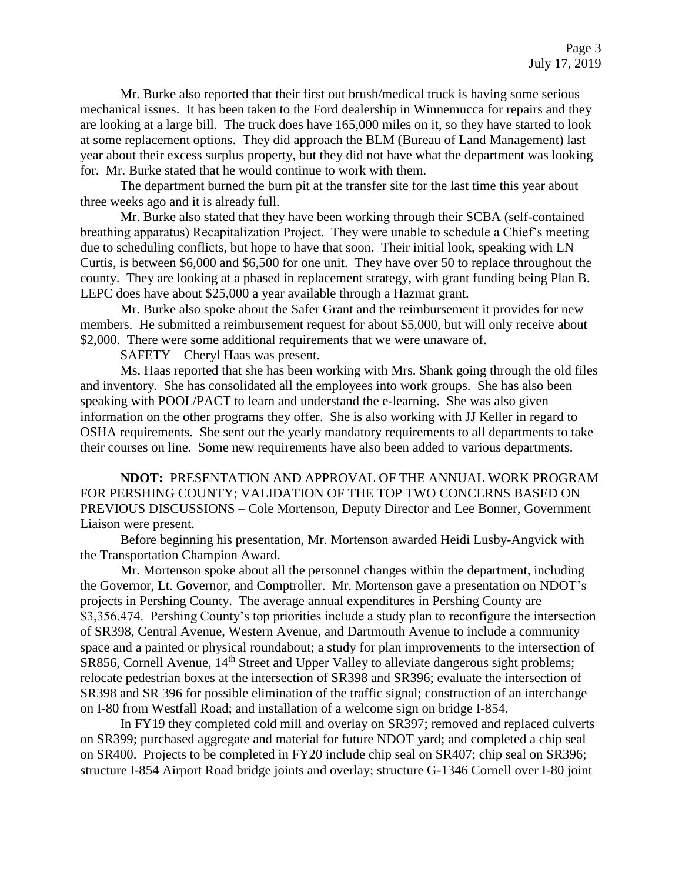Mr. Burke also reported that their first out brush/medical truck is having some serious mechanical issues. It has been taken to the Ford dealership in Winnemucca for repairs and they are looking at a large bill. The truck does have 165,000 miles on it, so they have started to look at some replacement options. They did approach the BLM (Bureau of Land Management) last year about their excess surplus property, but they did not have what the department was looking for. Mr. Burke stated that he would continue to work with them.

The department burned the burn pit at the transfer site for the last time this year about three weeks ago and it is already full.

Mr. Burke also stated that they have been working through their SCBA (self-contained breathing apparatus) Recapitalization Project. They were unable to schedule a Chief's meeting due to scheduling conflicts, but hope to have that soon. Their initial look, speaking with LN Curtis, is between \$6,000 and \$6,500 for one unit. They have over 50 to replace throughout the county. They are looking at a phased in replacement strategy, with grant funding being Plan B. LEPC does have about \$25,000 a year available through a Hazmat grant.

Mr. Burke also spoke about the Safer Grant and the reimbursement it provides for new members. He submitted a reimbursement request for about \$5,000, but will only receive about \$2,000. There were some additional requirements that we were unaware of.

SAFETY – Cheryl Haas was present.

Ms. Haas reported that she has been working with Mrs. Shank going through the old files and inventory. She has consolidated all the employees into work groups. She has also been speaking with POOL/PACT to learn and understand the e-learning. She was also given information on the other programs they offer. She is also working with JJ Keller in regard to OSHA requirements. She sent out the yearly mandatory requirements to all departments to take their courses on line. Some new requirements have also been added to various departments.

**NDOT:** PRESENTATION AND APPROVAL OF THE ANNUAL WORK PROGRAM FOR PERSHING COUNTY; VALIDATION OF THE TOP TWO CONCERNS BASED ON PREVIOUS DISCUSSIONS – Cole Mortenson, Deputy Director and Lee Bonner, Government Liaison were present.

Before beginning his presentation, Mr. Mortenson awarded Heidi Lusby-Angvick with the Transportation Champion Award.

Mr. Mortenson spoke about all the personnel changes within the department, including the Governor, Lt. Governor, and Comptroller. Mr. Mortenson gave a presentation on NDOT's projects in Pershing County. The average annual expenditures in Pershing County are \$3,356,474. Pershing County's top priorities include a study plan to reconfigure the intersection of SR398, Central Avenue, Western Avenue, and Dartmouth Avenue to include a community space and a painted or physical roundabout; a study for plan improvements to the intersection of SR856, Cornell Avenue, 14<sup>th</sup> Street and Upper Valley to alleviate dangerous sight problems; relocate pedestrian boxes at the intersection of SR398 and SR396; evaluate the intersection of SR398 and SR 396 for possible elimination of the traffic signal; construction of an interchange on I-80 from Westfall Road; and installation of a welcome sign on bridge I-854.

In FY19 they completed cold mill and overlay on SR397; removed and replaced culverts on SR399; purchased aggregate and material for future NDOT yard; and completed a chip seal on SR400. Projects to be completed in FY20 include chip seal on SR407; chip seal on SR396; structure I-854 Airport Road bridge joints and overlay; structure G-1346 Cornell over I-80 joint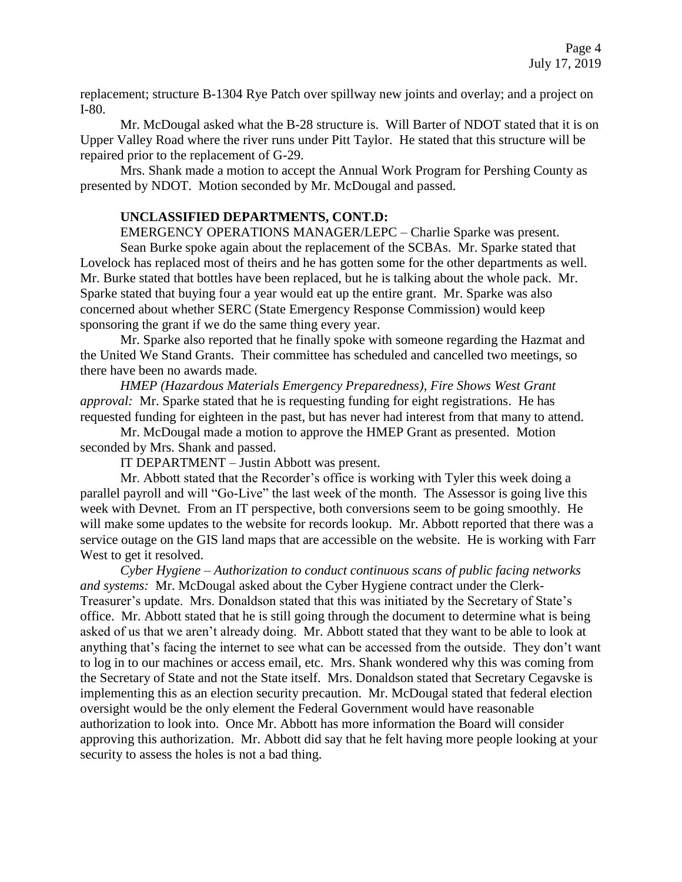replacement; structure B-1304 Rye Patch over spillway new joints and overlay; and a project on I-80.

Mr. McDougal asked what the B-28 structure is. Will Barter of NDOT stated that it is on Upper Valley Road where the river runs under Pitt Taylor. He stated that this structure will be repaired prior to the replacement of G-29.

Mrs. Shank made a motion to accept the Annual Work Program for Pershing County as presented by NDOT. Motion seconded by Mr. McDougal and passed.

# **UNCLASSIFIED DEPARTMENTS, CONT.D:**

EMERGENCY OPERATIONS MANAGER/LEPC – Charlie Sparke was present.

Sean Burke spoke again about the replacement of the SCBAs. Mr. Sparke stated that Lovelock has replaced most of theirs and he has gotten some for the other departments as well. Mr. Burke stated that bottles have been replaced, but he is talking about the whole pack. Mr. Sparke stated that buying four a year would eat up the entire grant. Mr. Sparke was also concerned about whether SERC (State Emergency Response Commission) would keep sponsoring the grant if we do the same thing every year.

Mr. Sparke also reported that he finally spoke with someone regarding the Hazmat and the United We Stand Grants. Their committee has scheduled and cancelled two meetings, so there have been no awards made.

*HMEP (Hazardous Materials Emergency Preparedness), Fire Shows West Grant approval:* Mr. Sparke stated that he is requesting funding for eight registrations. He has requested funding for eighteen in the past, but has never had interest from that many to attend.

Mr. McDougal made a motion to approve the HMEP Grant as presented. Motion seconded by Mrs. Shank and passed.

IT DEPARTMENT – Justin Abbott was present.

Mr. Abbott stated that the Recorder's office is working with Tyler this week doing a parallel payroll and will "Go-Live" the last week of the month. The Assessor is going live this week with Devnet. From an IT perspective, both conversions seem to be going smoothly. He will make some updates to the website for records lookup. Mr. Abbott reported that there was a service outage on the GIS land maps that are accessible on the website. He is working with Farr West to get it resolved.

*Cyber Hygiene – Authorization to conduct continuous scans of public facing networks and systems:* Mr. McDougal asked about the Cyber Hygiene contract under the Clerk-Treasurer's update. Mrs. Donaldson stated that this was initiated by the Secretary of State's office. Mr. Abbott stated that he is still going through the document to determine what is being asked of us that we aren't already doing. Mr. Abbott stated that they want to be able to look at anything that's facing the internet to see what can be accessed from the outside. They don't want to log in to our machines or access email, etc. Mrs. Shank wondered why this was coming from the Secretary of State and not the State itself. Mrs. Donaldson stated that Secretary Cegavske is implementing this as an election security precaution. Mr. McDougal stated that federal election oversight would be the only element the Federal Government would have reasonable authorization to look into. Once Mr. Abbott has more information the Board will consider approving this authorization. Mr. Abbott did say that he felt having more people looking at your security to assess the holes is not a bad thing.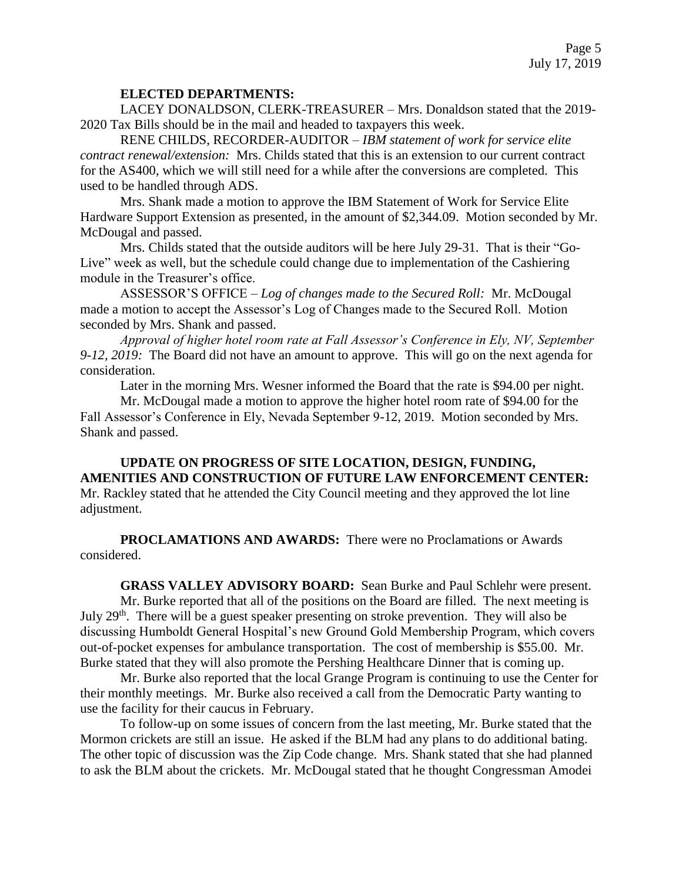### **ELECTED DEPARTMENTS:**

LACEY DONALDSON, CLERK-TREASURER – Mrs. Donaldson stated that the 2019- 2020 Tax Bills should be in the mail and headed to taxpayers this week.

RENE CHILDS, RECORDER-AUDITOR – *IBM statement of work for service elite contract renewal/extension:* Mrs. Childs stated that this is an extension to our current contract for the AS400, which we will still need for a while after the conversions are completed. This used to be handled through ADS.

Mrs. Shank made a motion to approve the IBM Statement of Work for Service Elite Hardware Support Extension as presented, in the amount of \$2,344.09. Motion seconded by Mr. McDougal and passed.

Mrs. Childs stated that the outside auditors will be here July 29-31. That is their "Go-Live" week as well, but the schedule could change due to implementation of the Cashiering module in the Treasurer's office.

ASSESSOR'S OFFICE – *Log of changes made to the Secured Roll:* Mr. McDougal made a motion to accept the Assessor's Log of Changes made to the Secured Roll. Motion seconded by Mrs. Shank and passed.

*Approval of higher hotel room rate at Fall Assessor's Conference in Ely, NV, September 9-12, 2019:* The Board did not have an amount to approve. This will go on the next agenda for consideration.

Later in the morning Mrs. Wesner informed the Board that the rate is \$94.00 per night.

Mr. McDougal made a motion to approve the higher hotel room rate of \$94.00 for the Fall Assessor's Conference in Ely, Nevada September 9-12, 2019. Motion seconded by Mrs. Shank and passed.

**UPDATE ON PROGRESS OF SITE LOCATION, DESIGN, FUNDING, AMENITIES AND CONSTRUCTION OF FUTURE LAW ENFORCEMENT CENTER:**  Mr. Rackley stated that he attended the City Council meeting and they approved the lot line adjustment.

**PROCLAMATIONS AND AWARDS:** There were no Proclamations or Awards considered.

**GRASS VALLEY ADVISORY BOARD:** Sean Burke and Paul Schlehr were present. Mr. Burke reported that all of the positions on the Board are filled. The next meeting is July  $29<sup>th</sup>$ . There will be a guest speaker presenting on stroke prevention. They will also be discussing Humboldt General Hospital's new Ground Gold Membership Program, which covers out-of-pocket expenses for ambulance transportation. The cost of membership is \$55.00. Mr.

Burke stated that they will also promote the Pershing Healthcare Dinner that is coming up.

Mr. Burke also reported that the local Grange Program is continuing to use the Center for their monthly meetings. Mr. Burke also received a call from the Democratic Party wanting to use the facility for their caucus in February.

To follow-up on some issues of concern from the last meeting, Mr. Burke stated that the Mormon crickets are still an issue. He asked if the BLM had any plans to do additional bating. The other topic of discussion was the Zip Code change. Mrs. Shank stated that she had planned to ask the BLM about the crickets. Mr. McDougal stated that he thought Congressman Amodei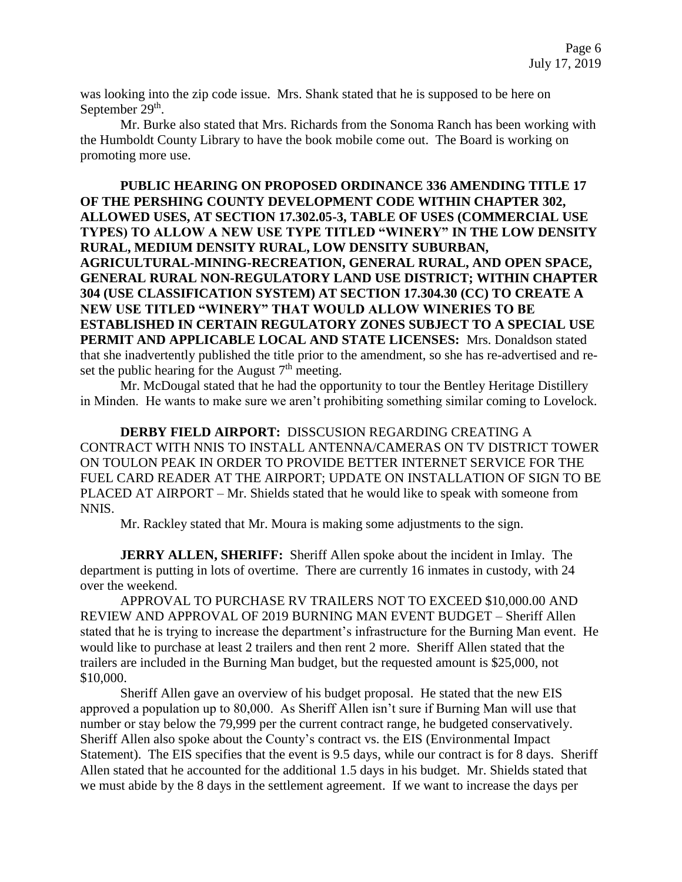was looking into the zip code issue. Mrs. Shank stated that he is supposed to be here on September  $29<sup>th</sup>$ .

Mr. Burke also stated that Mrs. Richards from the Sonoma Ranch has been working with the Humboldt County Library to have the book mobile come out. The Board is working on promoting more use.

**PUBLIC HEARING ON PROPOSED ORDINANCE 336 AMENDING TITLE 17 OF THE PERSHING COUNTY DEVELOPMENT CODE WITHIN CHAPTER 302, ALLOWED USES, AT SECTION 17.302.05-3, TABLE OF USES (COMMERCIAL USE TYPES) TO ALLOW A NEW USE TYPE TITLED "WINERY" IN THE LOW DENSITY RURAL, MEDIUM DENSITY RURAL, LOW DENSITY SUBURBAN, AGRICULTURAL-MINING-RECREATION, GENERAL RURAL, AND OPEN SPACE, GENERAL RURAL NON-REGULATORY LAND USE DISTRICT; WITHIN CHAPTER 304 (USE CLASSIFICATION SYSTEM) AT SECTION 17.304.30 (CC) TO CREATE A NEW USE TITLED "WINERY" THAT WOULD ALLOW WINERIES TO BE ESTABLISHED IN CERTAIN REGULATORY ZONES SUBJECT TO A SPECIAL USE PERMIT AND APPLICABLE LOCAL AND STATE LICENSES:** Mrs. Donaldson stated that she inadvertently published the title prior to the amendment, so she has re-advertised and reset the public hearing for the August  $7<sup>th</sup>$  meeting.

Mr. McDougal stated that he had the opportunity to tour the Bentley Heritage Distillery in Minden. He wants to make sure we aren't prohibiting something similar coming to Lovelock.

**DERBY FIELD AIRPORT:** DISSCUSION REGARDING CREATING A CONTRACT WITH NNIS TO INSTALL ANTENNA/CAMERAS ON TV DISTRICT TOWER ON TOULON PEAK IN ORDER TO PROVIDE BETTER INTERNET SERVICE FOR THE FUEL CARD READER AT THE AIRPORT; UPDATE ON INSTALLATION OF SIGN TO BE PLACED AT AIRPORT – Mr. Shields stated that he would like to speak with someone from NNIS.

Mr. Rackley stated that Mr. Moura is making some adjustments to the sign.

**JERRY ALLEN, SHERIFF:** Sheriff Allen spoke about the incident in Imlay. The department is putting in lots of overtime. There are currently 16 inmates in custody, with 24 over the weekend.

APPROVAL TO PURCHASE RV TRAILERS NOT TO EXCEED \$10,000.00 AND REVIEW AND APPROVAL OF 2019 BURNING MAN EVENT BUDGET – Sheriff Allen stated that he is trying to increase the department's infrastructure for the Burning Man event. He would like to purchase at least 2 trailers and then rent 2 more. Sheriff Allen stated that the trailers are included in the Burning Man budget, but the requested amount is \$25,000, not \$10,000.

Sheriff Allen gave an overview of his budget proposal. He stated that the new EIS approved a population up to 80,000. As Sheriff Allen isn't sure if Burning Man will use that number or stay below the 79,999 per the current contract range, he budgeted conservatively. Sheriff Allen also spoke about the County's contract vs. the EIS (Environmental Impact Statement). The EIS specifies that the event is 9.5 days, while our contract is for 8 days. Sheriff Allen stated that he accounted for the additional 1.5 days in his budget. Mr. Shields stated that we must abide by the 8 days in the settlement agreement. If we want to increase the days per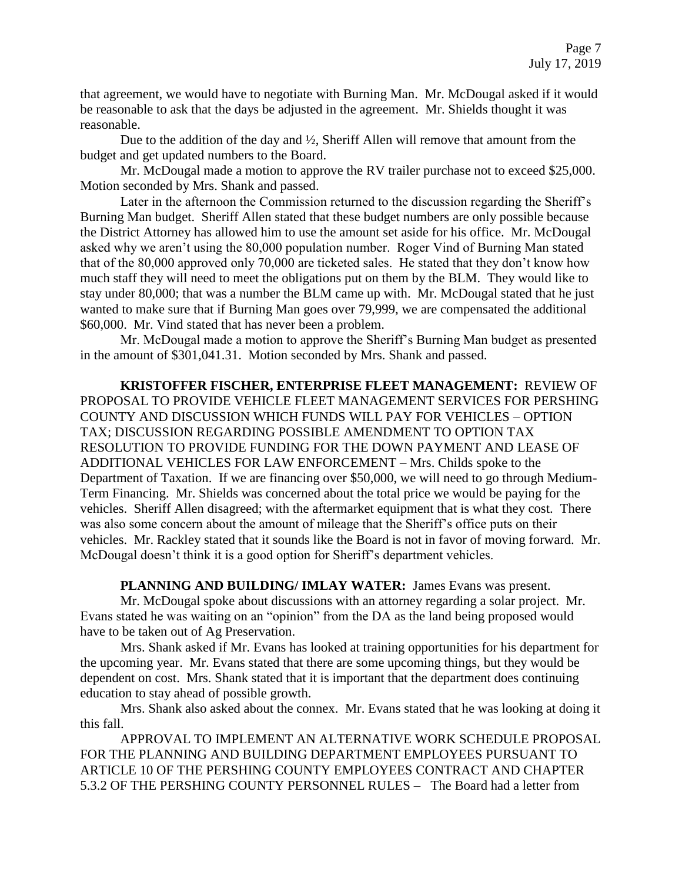that agreement, we would have to negotiate with Burning Man. Mr. McDougal asked if it would be reasonable to ask that the days be adjusted in the agreement. Mr. Shields thought it was reasonable.

Due to the addition of the day and ½, Sheriff Allen will remove that amount from the budget and get updated numbers to the Board.

Mr. McDougal made a motion to approve the RV trailer purchase not to exceed \$25,000. Motion seconded by Mrs. Shank and passed.

Later in the afternoon the Commission returned to the discussion regarding the Sheriff's Burning Man budget. Sheriff Allen stated that these budget numbers are only possible because the District Attorney has allowed him to use the amount set aside for his office. Mr. McDougal asked why we aren't using the 80,000 population number. Roger Vind of Burning Man stated that of the 80,000 approved only 70,000 are ticketed sales. He stated that they don't know how much staff they will need to meet the obligations put on them by the BLM. They would like to stay under 80,000; that was a number the BLM came up with. Mr. McDougal stated that he just wanted to make sure that if Burning Man goes over 79,999, we are compensated the additional \$60,000. Mr. Vind stated that has never been a problem.

Mr. McDougal made a motion to approve the Sheriff's Burning Man budget as presented in the amount of \$301,041.31. Motion seconded by Mrs. Shank and passed.

**KRISTOFFER FISCHER, ENTERPRISE FLEET MANAGEMENT:** REVIEW OF PROPOSAL TO PROVIDE VEHICLE FLEET MANAGEMENT SERVICES FOR PERSHING COUNTY AND DISCUSSION WHICH FUNDS WILL PAY FOR VEHICLES – OPTION TAX; DISCUSSION REGARDING POSSIBLE AMENDMENT TO OPTION TAX RESOLUTION TO PROVIDE FUNDING FOR THE DOWN PAYMENT AND LEASE OF ADDITIONAL VEHICLES FOR LAW ENFORCEMENT – Mrs. Childs spoke to the Department of Taxation. If we are financing over \$50,000, we will need to go through Medium-Term Financing. Mr. Shields was concerned about the total price we would be paying for the vehicles. Sheriff Allen disagreed; with the aftermarket equipment that is what they cost. There was also some concern about the amount of mileage that the Sheriff's office puts on their vehicles. Mr. Rackley stated that it sounds like the Board is not in favor of moving forward. Mr. McDougal doesn't think it is a good option for Sheriff's department vehicles.

PLANNING AND BUILDING/ IMLAY WATER: James Evans was present. Mr. McDougal spoke about discussions with an attorney regarding a solar project. Mr. Evans stated he was waiting on an "opinion" from the DA as the land being proposed would have to be taken out of Ag Preservation.

Mrs. Shank asked if Mr. Evans has looked at training opportunities for his department for the upcoming year. Mr. Evans stated that there are some upcoming things, but they would be dependent on cost. Mrs. Shank stated that it is important that the department does continuing education to stay ahead of possible growth.

Mrs. Shank also asked about the connex. Mr. Evans stated that he was looking at doing it this fall.

APPROVAL TO IMPLEMENT AN ALTERNATIVE WORK SCHEDULE PROPOSAL FOR THE PLANNING AND BUILDING DEPARTMENT EMPLOYEES PURSUANT TO ARTICLE 10 OF THE PERSHING COUNTY EMPLOYEES CONTRACT AND CHAPTER 5.3.2 OF THE PERSHING COUNTY PERSONNEL RULES – The Board had a letter from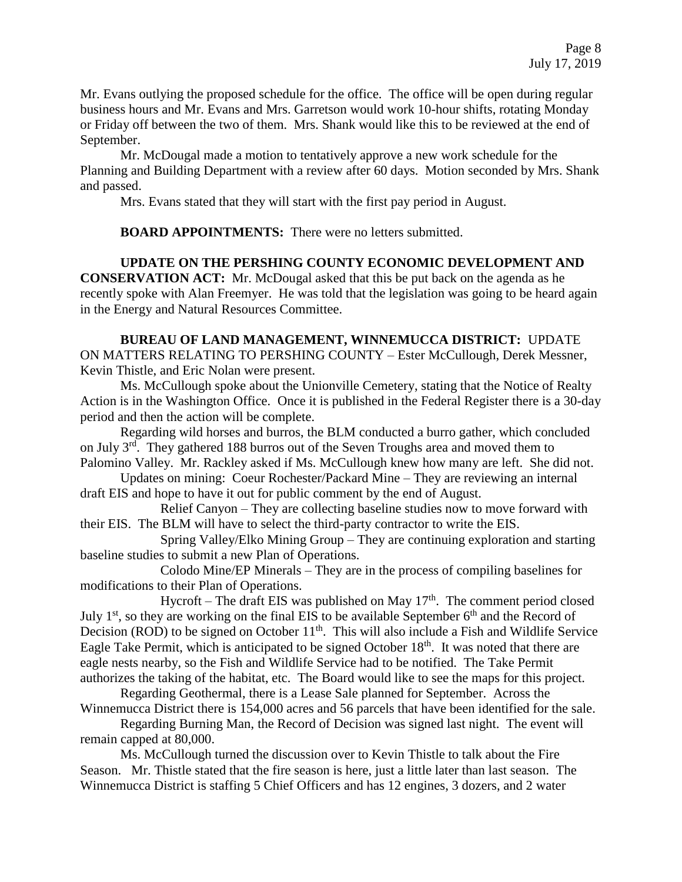Mr. Evans outlying the proposed schedule for the office. The office will be open during regular business hours and Mr. Evans and Mrs. Garretson would work 10-hour shifts, rotating Monday or Friday off between the two of them. Mrs. Shank would like this to be reviewed at the end of September.

Mr. McDougal made a motion to tentatively approve a new work schedule for the Planning and Building Department with a review after 60 days. Motion seconded by Mrs. Shank and passed.

Mrs. Evans stated that they will start with the first pay period in August.

**BOARD APPOINTMENTS:** There were no letters submitted.

**UPDATE ON THE PERSHING COUNTY ECONOMIC DEVELOPMENT AND CONSERVATION ACT:** Mr. McDougal asked that this be put back on the agenda as he recently spoke with Alan Freemyer. He was told that the legislation was going to be heard again in the Energy and Natural Resources Committee.

**BUREAU OF LAND MANAGEMENT, WINNEMUCCA DISTRICT:** UPDATE ON MATTERS RELATING TO PERSHING COUNTY – Ester McCullough, Derek Messner, Kevin Thistle, and Eric Nolan were present.

Ms. McCullough spoke about the Unionville Cemetery, stating that the Notice of Realty Action is in the Washington Office. Once it is published in the Federal Register there is a 30-day period and then the action will be complete.

Regarding wild horses and burros, the BLM conducted a burro gather, which concluded on July 3rd. They gathered 188 burros out of the Seven Troughs area and moved them to Palomino Valley. Mr. Rackley asked if Ms. McCullough knew how many are left. She did not.

Updates on mining: Coeur Rochester/Packard Mine – They are reviewing an internal draft EIS and hope to have it out for public comment by the end of August.

Relief Canyon – They are collecting baseline studies now to move forward with their EIS. The BLM will have to select the third-party contractor to write the EIS.

Spring Valley/Elko Mining Group – They are continuing exploration and starting baseline studies to submit a new Plan of Operations.

Colodo Mine/EP Minerals – They are in the process of compiling baselines for modifications to their Plan of Operations.

Hycroft – The draft EIS was published on May  $17<sup>th</sup>$ . The comment period closed July  $1<sup>st</sup>$ , so they are working on the final EIS to be available September 6<sup>th</sup> and the Record of Decision (ROD) to be signed on October  $11<sup>th</sup>$ . This will also include a Fish and Wildlife Service Eagle Take Permit, which is anticipated to be signed October 18<sup>th</sup>. It was noted that there are eagle nests nearby, so the Fish and Wildlife Service had to be notified. The Take Permit authorizes the taking of the habitat, etc. The Board would like to see the maps for this project.

Regarding Geothermal, there is a Lease Sale planned for September. Across the Winnemucca District there is 154,000 acres and 56 parcels that have been identified for the sale.

Regarding Burning Man, the Record of Decision was signed last night. The event will remain capped at 80,000.

Ms. McCullough turned the discussion over to Kevin Thistle to talk about the Fire Season. Mr. Thistle stated that the fire season is here, just a little later than last season. The Winnemucca District is staffing 5 Chief Officers and has 12 engines, 3 dozers, and 2 water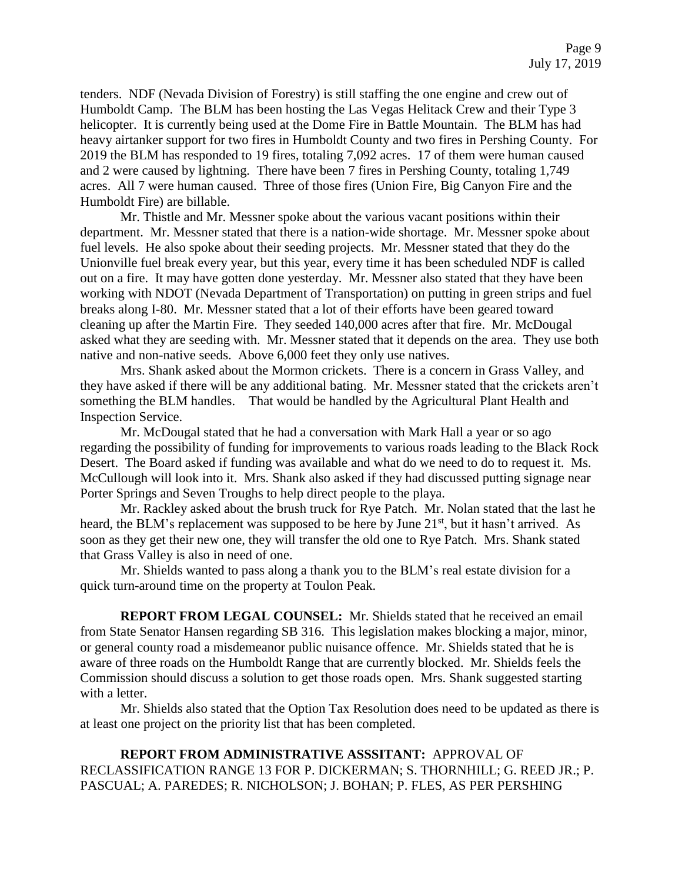tenders. NDF (Nevada Division of Forestry) is still staffing the one engine and crew out of Humboldt Camp. The BLM has been hosting the Las Vegas Helitack Crew and their Type 3 helicopter. It is currently being used at the Dome Fire in Battle Mountain. The BLM has had heavy airtanker support for two fires in Humboldt County and two fires in Pershing County. For 2019 the BLM has responded to 19 fires, totaling 7,092 acres. 17 of them were human caused and 2 were caused by lightning. There have been 7 fires in Pershing County, totaling 1,749 acres. All 7 were human caused. Three of those fires (Union Fire, Big Canyon Fire and the Humboldt Fire) are billable.

Mr. Thistle and Mr. Messner spoke about the various vacant positions within their department. Mr. Messner stated that there is a nation-wide shortage. Mr. Messner spoke about fuel levels. He also spoke about their seeding projects. Mr. Messner stated that they do the Unionville fuel break every year, but this year, every time it has been scheduled NDF is called out on a fire. It may have gotten done yesterday. Mr. Messner also stated that they have been working with NDOT (Nevada Department of Transportation) on putting in green strips and fuel breaks along I-80. Mr. Messner stated that a lot of their efforts have been geared toward cleaning up after the Martin Fire. They seeded 140,000 acres after that fire. Mr. McDougal asked what they are seeding with. Mr. Messner stated that it depends on the area. They use both native and non-native seeds. Above 6,000 feet they only use natives.

Mrs. Shank asked about the Mormon crickets. There is a concern in Grass Valley, and they have asked if there will be any additional bating. Mr. Messner stated that the crickets aren't something the BLM handles. That would be handled by the Agricultural Plant Health and Inspection Service.

Mr. McDougal stated that he had a conversation with Mark Hall a year or so ago regarding the possibility of funding for improvements to various roads leading to the Black Rock Desert. The Board asked if funding was available and what do we need to do to request it. Ms. McCullough will look into it. Mrs. Shank also asked if they had discussed putting signage near Porter Springs and Seven Troughs to help direct people to the playa.

Mr. Rackley asked about the brush truck for Rye Patch. Mr. Nolan stated that the last he heard, the BLM's replacement was supposed to be here by June 21<sup>st</sup>, but it hasn't arrived. As soon as they get their new one, they will transfer the old one to Rye Patch. Mrs. Shank stated that Grass Valley is also in need of one.

Mr. Shields wanted to pass along a thank you to the BLM's real estate division for a quick turn-around time on the property at Toulon Peak.

**REPORT FROM LEGAL COUNSEL:** Mr. Shields stated that he received an email from State Senator Hansen regarding SB 316. This legislation makes blocking a major, minor, or general county road a misdemeanor public nuisance offence. Mr. Shields stated that he is aware of three roads on the Humboldt Range that are currently blocked. Mr. Shields feels the Commission should discuss a solution to get those roads open. Mrs. Shank suggested starting with a letter.

Mr. Shields also stated that the Option Tax Resolution does need to be updated as there is at least one project on the priority list that has been completed.

**REPORT FROM ADMINISTRATIVE ASSSITANT:** APPROVAL OF RECLASSIFICATION RANGE 13 FOR P. DICKERMAN; S. THORNHILL; G. REED JR.; P. PASCUAL; A. PAREDES; R. NICHOLSON; J. BOHAN; P. FLES, AS PER PERSHING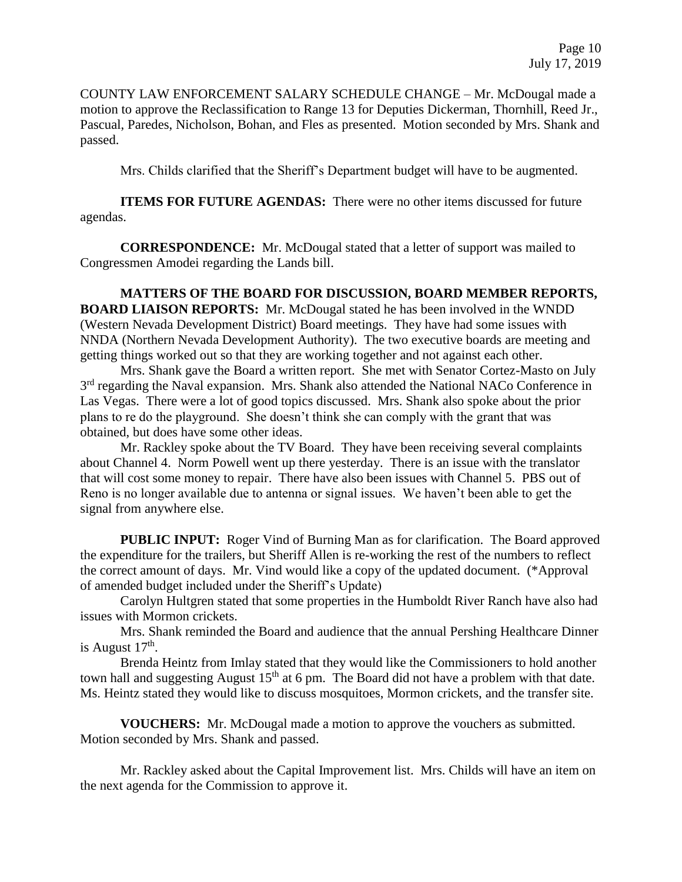COUNTY LAW ENFORCEMENT SALARY SCHEDULE CHANGE – Mr. McDougal made a motion to approve the Reclassification to Range 13 for Deputies Dickerman, Thornhill, Reed Jr., Pascual, Paredes, Nicholson, Bohan, and Fles as presented. Motion seconded by Mrs. Shank and passed.

Mrs. Childs clarified that the Sheriff's Department budget will have to be augmented.

**ITEMS FOR FUTURE AGENDAS:** There were no other items discussed for future agendas.

**CORRESPONDENCE:** Mr. McDougal stated that a letter of support was mailed to Congressmen Amodei regarding the Lands bill.

**MATTERS OF THE BOARD FOR DISCUSSION, BOARD MEMBER REPORTS, BOARD LIAISON REPORTS:** Mr. McDougal stated he has been involved in the WNDD (Western Nevada Development District) Board meetings. They have had some issues with NNDA (Northern Nevada Development Authority). The two executive boards are meeting and getting things worked out so that they are working together and not against each other.

Mrs. Shank gave the Board a written report. She met with Senator Cortez-Masto on July 3<sup>rd</sup> regarding the Naval expansion. Mrs. Shank also attended the National NACo Conference in Las Vegas. There were a lot of good topics discussed. Mrs. Shank also spoke about the prior plans to re do the playground. She doesn't think she can comply with the grant that was obtained, but does have some other ideas.

Mr. Rackley spoke about the TV Board. They have been receiving several complaints about Channel 4. Norm Powell went up there yesterday. There is an issue with the translator that will cost some money to repair. There have also been issues with Channel 5. PBS out of Reno is no longer available due to antenna or signal issues. We haven't been able to get the signal from anywhere else.

**PUBLIC INPUT:** Roger Vind of Burning Man as for clarification. The Board approved the expenditure for the trailers, but Sheriff Allen is re-working the rest of the numbers to reflect the correct amount of days. Mr. Vind would like a copy of the updated document. (\*Approval of amended budget included under the Sheriff's Update)

Carolyn Hultgren stated that some properties in the Humboldt River Ranch have also had issues with Mormon crickets.

Mrs. Shank reminded the Board and audience that the annual Pershing Healthcare Dinner is August  $17<sup>th</sup>$ .

Brenda Heintz from Imlay stated that they would like the Commissioners to hold another town hall and suggesting August  $15<sup>th</sup>$  at 6 pm. The Board did not have a problem with that date. Ms. Heintz stated they would like to discuss mosquitoes, Mormon crickets, and the transfer site.

**VOUCHERS:** Mr. McDougal made a motion to approve the vouchers as submitted. Motion seconded by Mrs. Shank and passed.

Mr. Rackley asked about the Capital Improvement list. Mrs. Childs will have an item on the next agenda for the Commission to approve it.